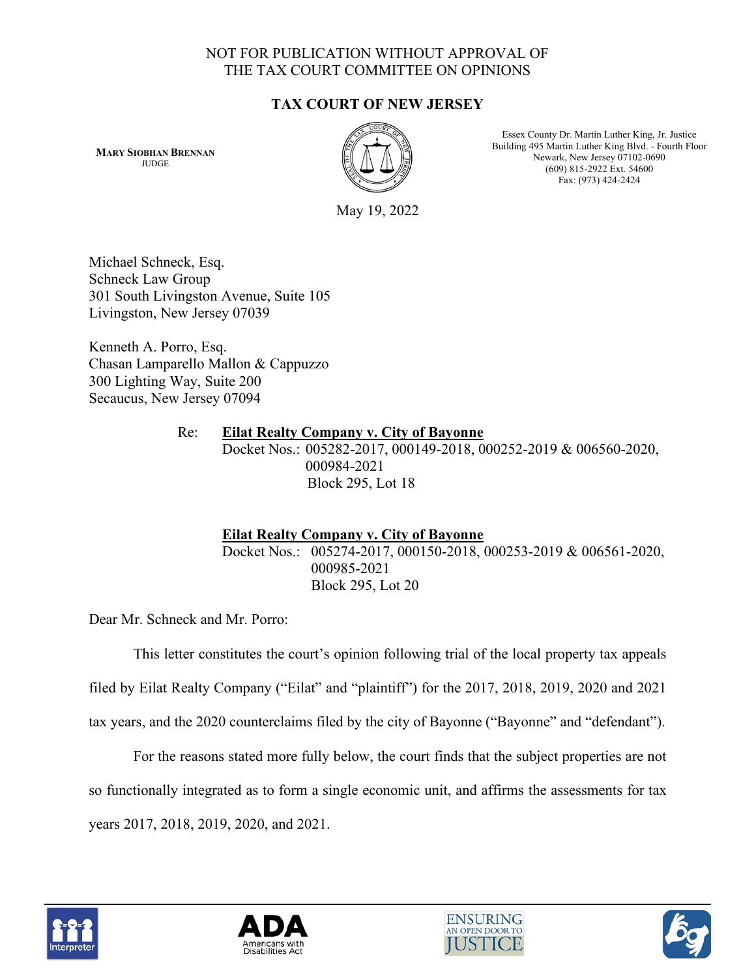# NOT FOR PUBLICATION WITHOUT APPROVAL OF THE TAX COURT COMMITTEE ON OPINIONS

# **TAX COURT OF NEW JERSEY**

**MARY SIOBHAN BRENNAN JUDGE** 



Essex County Dr. Martin Luther King, Jr. Justice Building 495 Martin Luther King Blvd. - Fourth Floor Newark, New Jersey 07102-0690 (609) 815-2922 Ext. 54600 Fax: (973) 424-2424

May 19, 2022

Michael Schneck, Esq. Schneck Law Group 301 South Livingston Avenue, Suite 105 Livingston, New Jersey 07039

Kenneth A. Porro, Esq. Chasan Lamparello Mallon & Cappuzzo 300 Lighting Way, Suite 200 Secaucus, New Jersey 07094

## Re: **Eilat Realty Company v. City of Bayonne** Docket Nos.: 005282-2017, 000149-2018, 000252-2019 & 006560-2020, 000984-2021 Block 295, Lot 18

# **Eilat Realty Company v. City of Bayonne**

Docket Nos.: 005274-2017, 000150-2018, 000253-2019 & 006561-2020, 000985-2021 Block 295, Lot 20

Dear Mr. Schneck and Mr. Porro:

This letter constitutes the court's opinion following trial of the local property tax appeals

filed by Eilat Realty Company ("Eilat" and "plaintiff") for the 2017, 2018, 2019, 2020 and 2021

tax years, and the 2020 counterclaims filed by the city of Bayonne ("Bayonne" and "defendant").

For the reasons stated more fully below, the court finds that the subject properties are not so functionally integrated as to form a single economic unit, and affirms the assessments for tax years 2017, 2018, 2019, 2020, and 2021.







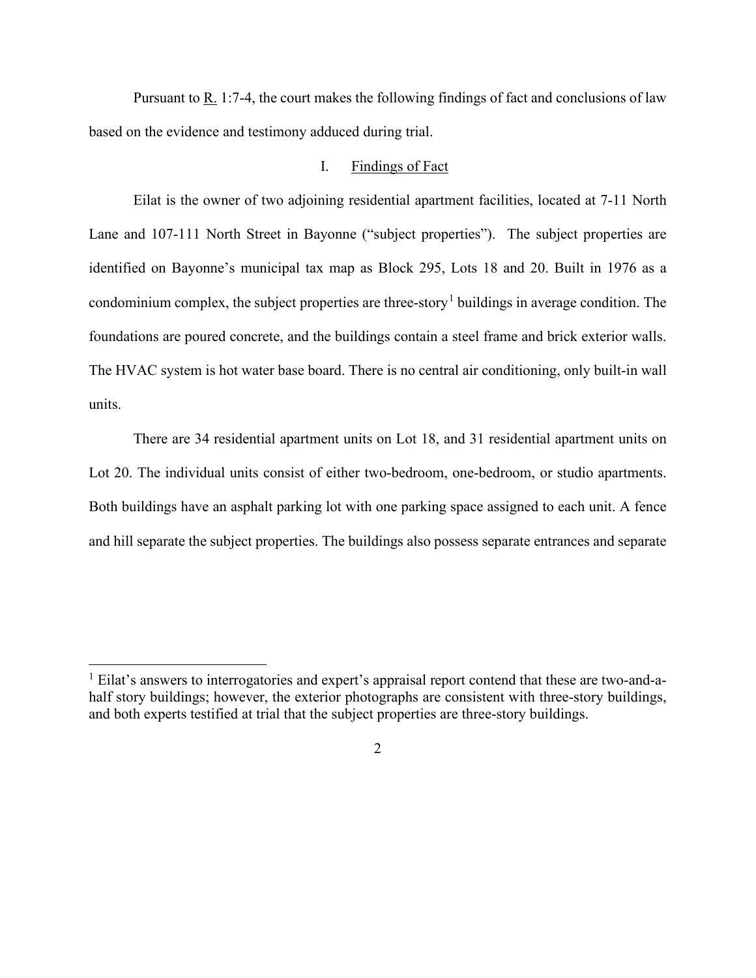Pursuant to  $\underline{R}$ . 1:7-4, the court makes the following findings of fact and conclusions of law based on the evidence and testimony adduced during trial.

### I. Findings of Fact

Eilat is the owner of two adjoining residential apartment facilities, located at 7-11 North Lane and 107-111 North Street in Bayonne ("subject properties"). The subject properties are identified on Bayonne's municipal tax map as Block 295, Lots 18 and 20. Built in 1976 as a condominium complex, the subject properties are three-story<sup>[1](#page-1-0)</sup> buildings in average condition. The foundations are poured concrete, and the buildings contain a steel frame and brick exterior walls. The HVAC system is hot water base board. There is no central air conditioning, only built-in wall units.

There are 34 residential apartment units on Lot 18, and 31 residential apartment units on Lot 20. The individual units consist of either two-bedroom, one-bedroom, or studio apartments. Both buildings have an asphalt parking lot with one parking space assigned to each unit. A fence and hill separate the subject properties. The buildings also possess separate entrances and separate

<span id="page-1-0"></span><sup>&</sup>lt;sup>1</sup> Eilat's answers to interrogatories and expert's appraisal report contend that these are two-and-ahalf story buildings; however, the exterior photographs are consistent with three-story buildings, and both experts testified at trial that the subject properties are three-story buildings.

<sup>2</sup>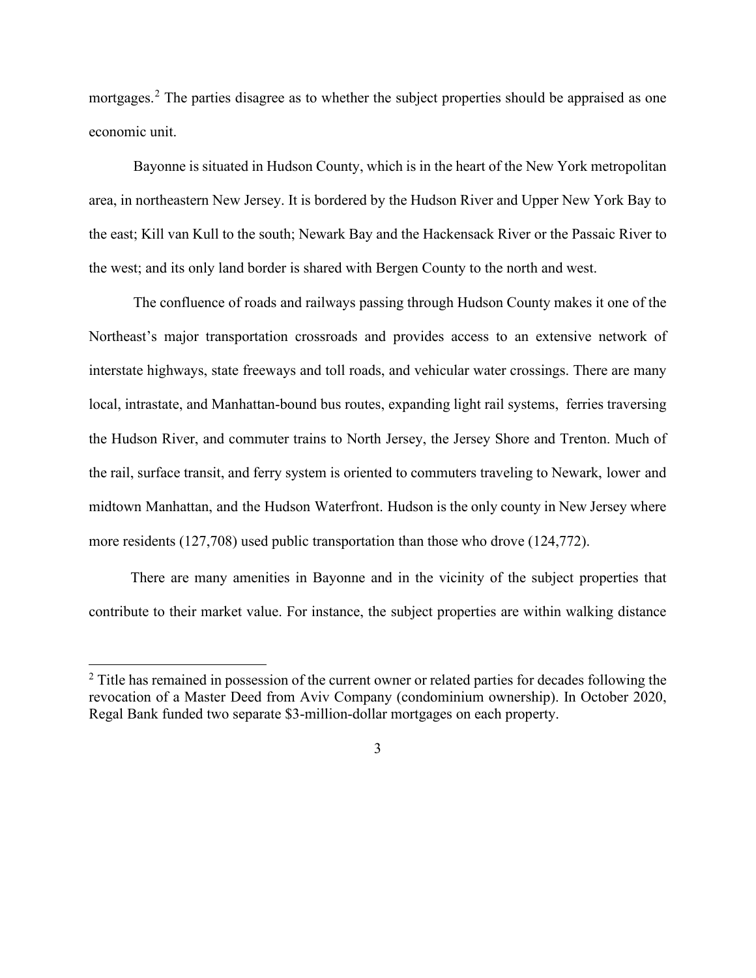mortgages.<sup>[2](#page-2-0)</sup> The parties disagree as to whether the subject properties should be appraised as one economic unit.

Bayonne is situated in Hudson County, which is in the heart of the New York metropolitan area, in northeastern New Jersey. It is bordered by the Hudson River and Upper New York Bay to the east; Kill van Kull to the south; Newark Bay and the Hackensack River or the Passaic River to the west; and its only land border is shared with Bergen County to the north and west.

The confluence of roads and railways passing through Hudson County makes it one of the Northeast's major transportation crossroads and provides access to an extensive network of interstate highways, state freeways and toll roads, and vehicular water crossings. There are many local, intrastate, and Manhattan-bound bus routes, expanding light rail systems, ferries traversing the Hudson River, and commuter trains to North Jersey, the Jersey Shore and Trenton. Much of the rail, surface transit, and ferry system is oriented to commuters traveling to Newark, lower and midtown Manhattan, and the Hudson Waterfront. Hudson is the only county in New Jersey where more residents (127,708) used public transportation than those who drove (124,772).

There are many amenities in Bayonne and in the vicinity of the subject properties that contribute to their market value. For instance, the subject properties are within walking distance

<span id="page-2-0"></span><sup>&</sup>lt;sup>2</sup> Title has remained in possession of the current owner or related parties for decades following the revocation of a Master Deed from Aviv Company (condominium ownership). In October 2020, Regal Bank funded two separate \$3-million-dollar mortgages on each property.

<sup>3</sup>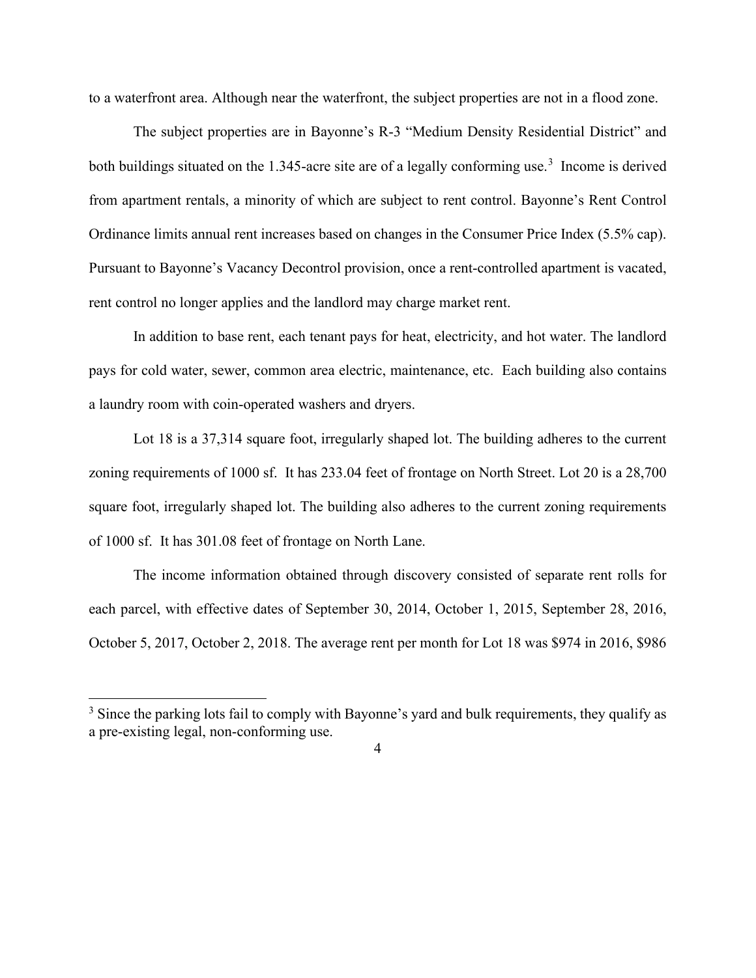to a waterfront area. Although near the waterfront, the subject properties are not in a flood zone.

The subject properties are in Bayonne's R-3 "Medium Density Residential District" and both buildings situated on the 1.[3](#page-3-0)45-acre site are of a legally conforming use.<sup>3</sup> Income is derived from apartment rentals, a minority of which are subject to rent control. Bayonne's Rent Control Ordinance limits annual rent increases based on changes in the Consumer Price Index (5.5% cap). Pursuant to Bayonne's Vacancy Decontrol provision, once a rent-controlled apartment is vacated, rent control no longer applies and the landlord may charge market rent.

In addition to base rent, each tenant pays for heat, electricity, and hot water. The landlord pays for cold water, sewer, common area electric, maintenance, etc. Each building also contains a laundry room with coin-operated washers and dryers.

Lot 18 is a 37,314 square foot, irregularly shaped lot. The building adheres to the current zoning requirements of 1000 sf. It has 233.04 feet of frontage on North Street. Lot 20 is a 28,700 square foot, irregularly shaped lot. The building also adheres to the current zoning requirements of 1000 sf. It has 301.08 feet of frontage on North Lane.

The income information obtained through discovery consisted of separate rent rolls for each parcel, with effective dates of September 30, 2014, October 1, 2015, September 28, 2016, October 5, 2017, October 2, 2018. The average rent per month for Lot 18 was \$974 in 2016, \$986

<span id="page-3-0"></span><sup>&</sup>lt;sup>3</sup> Since the parking lots fail to comply with Bayonne's yard and bulk requirements, they qualify as a pre-existing legal, non-conforming use.

<sup>4</sup>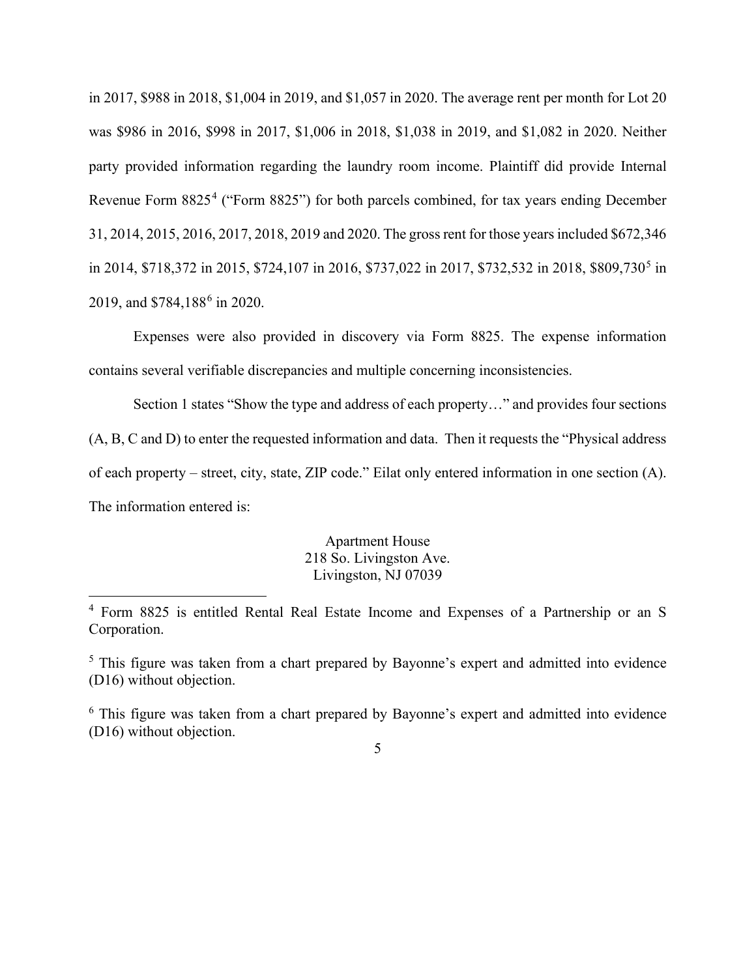in 2017, \$988 in 2018, \$1,004 in 2019, and \$1,057 in 2020. The average rent per month for Lot 20 was \$986 in 2016, \$998 in 2017, \$1,006 in 2018, \$1,038 in 2019, and \$1,082 in 2020. Neither party provided information regarding the laundry room income. Plaintiff did provide Internal Revenue Form 8825<sup>[4](#page-4-0)</sup> ("Form 8825") for both parcels combined, for tax years ending December 31, 2014, 2015, 2016, 2017, 2018, 2019 and 2020. The gross rent for those years included \$672,346 in 2014, \$718,372 in 201[5](#page-4-1), \$724,107 in 2016, \$737,022 in 2017, \$732,532 in 2018, \$809,730<sup>5</sup> in 2019, and \$784,188<sup>[6](#page-4-2)</sup> in 2020.

Expenses were also provided in discovery via Form 8825. The expense information contains several verifiable discrepancies and multiple concerning inconsistencies.

Section 1 states "Show the type and address of each property…" and provides four sections (A, B, C and D) to enter the requested information and data. Then it requests the "Physical address of each property – street, city, state, ZIP code." Eilat only entered information in one section (A). The information entered is:

> Apartment House 218 So. Livingston Ave. Livingston, NJ 07039

<span id="page-4-0"></span><sup>4</sup> Form 8825 is entitled Rental Real Estate Income and Expenses of a Partnership or an S Corporation.

<span id="page-4-1"></span><sup>&</sup>lt;sup>5</sup> This figure was taken from a chart prepared by Bayonne's expert and admitted into evidence (D16) without objection.

<span id="page-4-2"></span> $6$  This figure was taken from a chart prepared by Bayonne's expert and admitted into evidence (D16) without objection.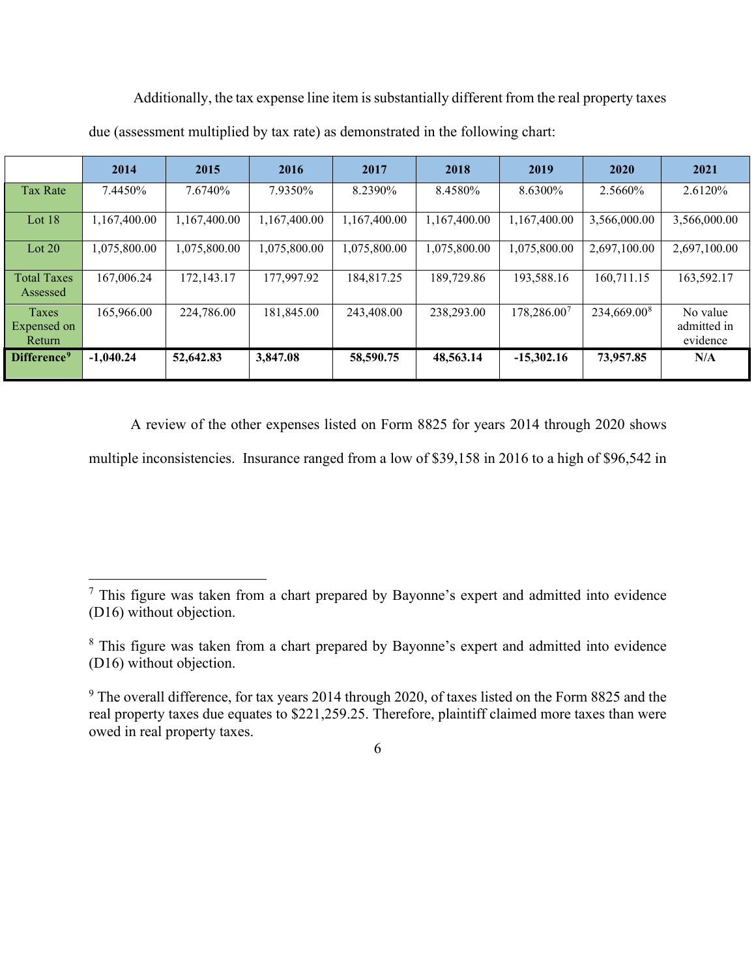|                                | 2014         | 2015         | 2016         | 2017         | 2018         | 2019         | 2020                    | 2021                                |
|--------------------------------|--------------|--------------|--------------|--------------|--------------|--------------|-------------------------|-------------------------------------|
| Tax Rate                       | 7.4450%      | 7.6740%      | 7.9350%      | 8.2390%      | 8.4580%      | 8.6300\%     | 2.5660\%                | 2.6120\%                            |
| Lot $18$                       | 1,167,400.00 | 1,167,400.00 | 1,167,400.00 | 1,167,400.00 | 1,167,400.00 | 1,167,400.00 | 3,566,000.00            | 3,566,000.00                        |
| Lot $20$                       | 1,075,800.00 | 1,075,800.00 | 1,075,800.00 | 1,075,800.00 | 1,075,800.00 | 1,075,800.00 | 2,697,100.00            | 2,697,100.00                        |
| <b>Total Taxes</b><br>Assessed | 167,006.24   | 172, 143. 17 | 177,997.92   | 184,817.25   | 189,729.86   | 193,588.16   | 160,711.15              | 163,592.17                          |
| Taxes<br>Expensed on<br>Return | 165,966.00   | 224,786.00   | 181,845.00   | 243,408.00   | 238,293.00   | 178,286.007  | 234,669.00 <sup>8</sup> | No value<br>admitted in<br>evidence |
| Difference <sup>9</sup>        | $-1.040.24$  | 52,642.83    | 3,847.08     | 58,590.75    | 48,563.14    | $-15,302.16$ | 73,957.85               | N/A                                 |

Additionally, the tax expense line item is substantially different from the real property taxes due (assessment multiplied by tax rate) as demonstrated in the following chart:

A review of the other expenses listed on Form 8825 for years 2014 through 2020 shows

multiple inconsistencies. Insurance ranged from a low of \$39,158 in 2016 to a high of \$96,542 in

<span id="page-5-0"></span> $<sup>7</sup>$  This figure was taken from a chart prepared by Bayonne's expert and admitted into evidence</sup> (D16) without objection.

<span id="page-5-1"></span><sup>&</sup>lt;sup>8</sup> This figure was taken from a chart prepared by Bayonne's expert and admitted into evidence (D16) without objection.

<span id="page-5-2"></span><sup>&</sup>lt;sup>9</sup> The overall difference, for tax years 2014 through 2020, of taxes listed on the Form 8825 and the real property taxes due equates to \$221,259.25. Therefore, plaintiff claimed more taxes than were owed in real property taxes.

<sup>6</sup>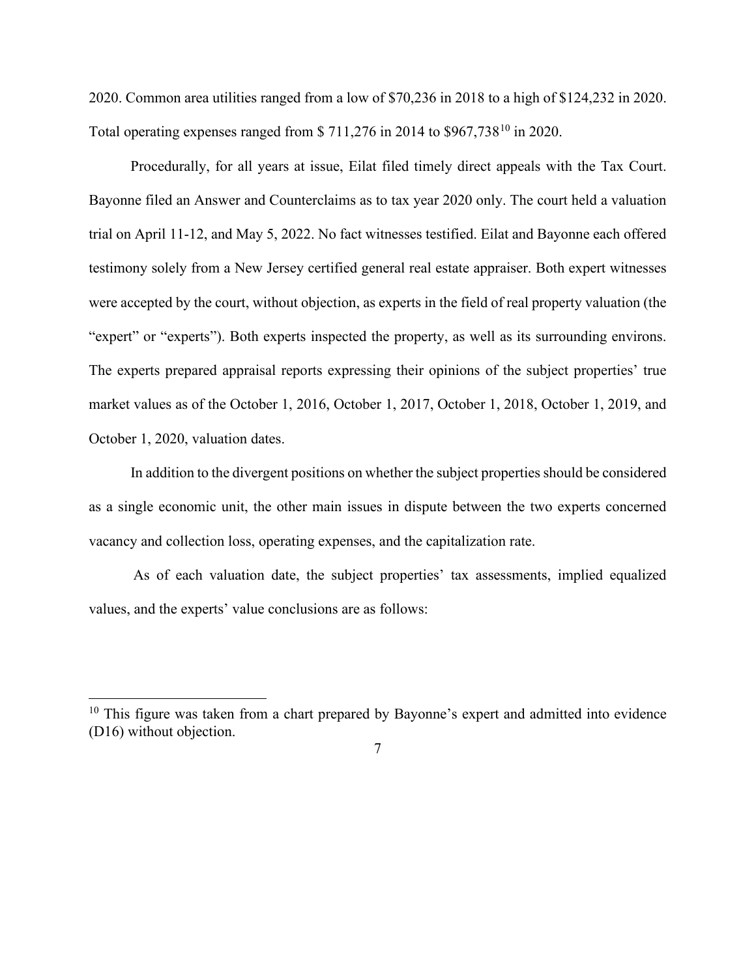2020. Common area utilities ranged from a low of \$70,236 in 2018 to a high of \$124,232 in 2020. Total operating expenses ranged from \$ 711,276 in 2014 to \$967,738[10](#page-6-0) in 2020.

Procedurally, for all years at issue, Eilat filed timely direct appeals with the Tax Court. Bayonne filed an Answer and Counterclaims as to tax year 2020 only. The court held a valuation trial on April 11-12, and May 5, 2022. No fact witnesses testified. Eilat and Bayonne each offered testimony solely from a New Jersey certified general real estate appraiser. Both expert witnesses were accepted by the court, without objection, as experts in the field of real property valuation (the "expert" or "experts"). Both experts inspected the property, as well as its surrounding environs. The experts prepared appraisal reports expressing their opinions of the subject properties' true market values as of the October 1, 2016, October 1, 2017, October 1, 2018, October 1, 2019, and October 1, 2020, valuation dates.

In addition to the divergent positions on whether the subject properties should be considered as a single economic unit, the other main issues in dispute between the two experts concerned vacancy and collection loss, operating expenses, and the capitalization rate.

As of each valuation date, the subject properties' tax assessments, implied equalized values, and the experts' value conclusions are as follows:

<span id="page-6-0"></span><sup>&</sup>lt;sup>10</sup> This figure was taken from a chart prepared by Bayonne's expert and admitted into evidence (D16) without objection.

<sup>7</sup>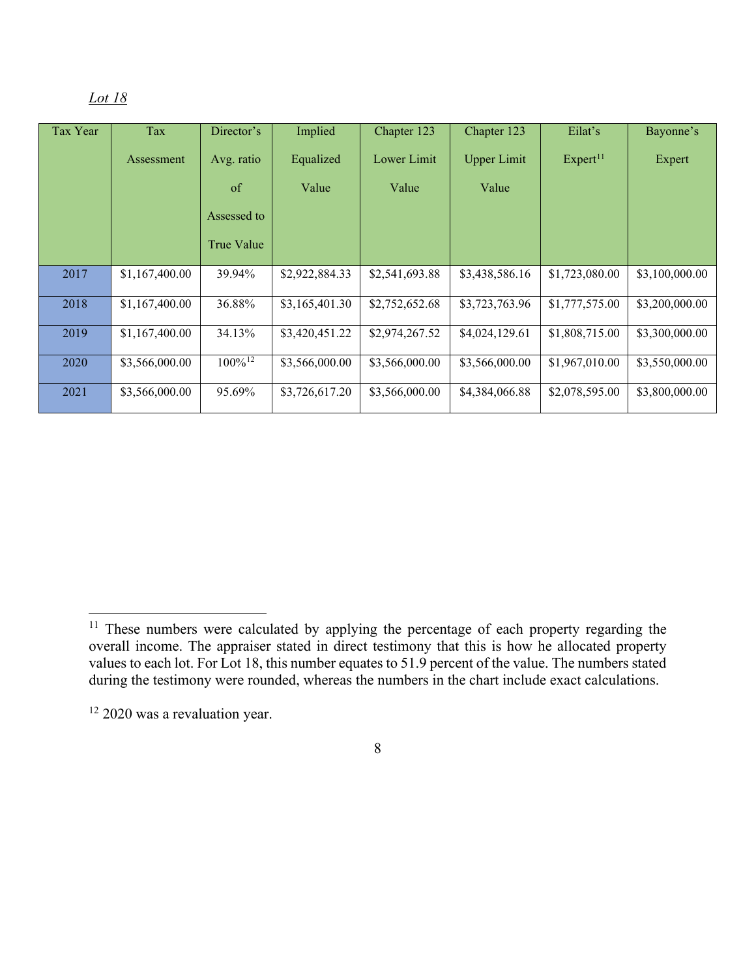| Tax Year | Tax            | Director's            | Implied        | Chapter 123    | Chapter 123        | Eilat's              | Bayonne's      |
|----------|----------------|-----------------------|----------------|----------------|--------------------|----------------------|----------------|
|          | Assessment     | Avg. ratio            | Equalized      | Lower Limit    | <b>Upper Limit</b> | Expert <sup>11</sup> | Expert         |
|          |                | of                    | Value          | Value          | Value              |                      |                |
|          |                | Assessed to           |                |                |                    |                      |                |
|          |                | True Value            |                |                |                    |                      |                |
| 2017     | \$1,167,400.00 | 39.94%                | \$2,922,884.33 | \$2,541,693.88 | \$3,438,586.16     | \$1,723,080.00       | \$3,100,000.00 |
| 2018     | \$1,167,400.00 | 36.88%                | \$3,165,401.30 | \$2,752,652.68 | \$3,723,763.96     | \$1,777,575.00       | \$3,200,000.00 |
| 2019     | \$1,167,400.00 | 34.13%                | \$3,420,451.22 | \$2,974,267.52 | \$4,024,129.61     | \$1,808,715.00       | \$3,300,000.00 |
| 2020     | \$3,566,000.00 | $100\%$ <sup>12</sup> | \$3,566,000.00 | \$3,566,000.00 | \$3,566,000.00     | \$1,967,010.00       | \$3,550,000.00 |
| 2021     | \$3,566,000.00 | 95.69%                | \$3,726,617.20 | \$3,566,000.00 | \$4,384,066.88     | \$2,078,595.00       | \$3,800,000.00 |

<span id="page-7-0"></span><sup>&</sup>lt;sup>11</sup> These numbers were calculated by applying the percentage of each property regarding the overall income. The appraiser stated in direct testimony that this is how he allocated property values to each lot. For Lot 18, this number equates to 51.9 percent of the value. The numbers stated during the testimony were rounded, whereas the numbers in the chart include exact calculations.

<span id="page-7-1"></span><sup>&</sup>lt;sup>12</sup> 2020 was a revaluation year.

<sup>8</sup>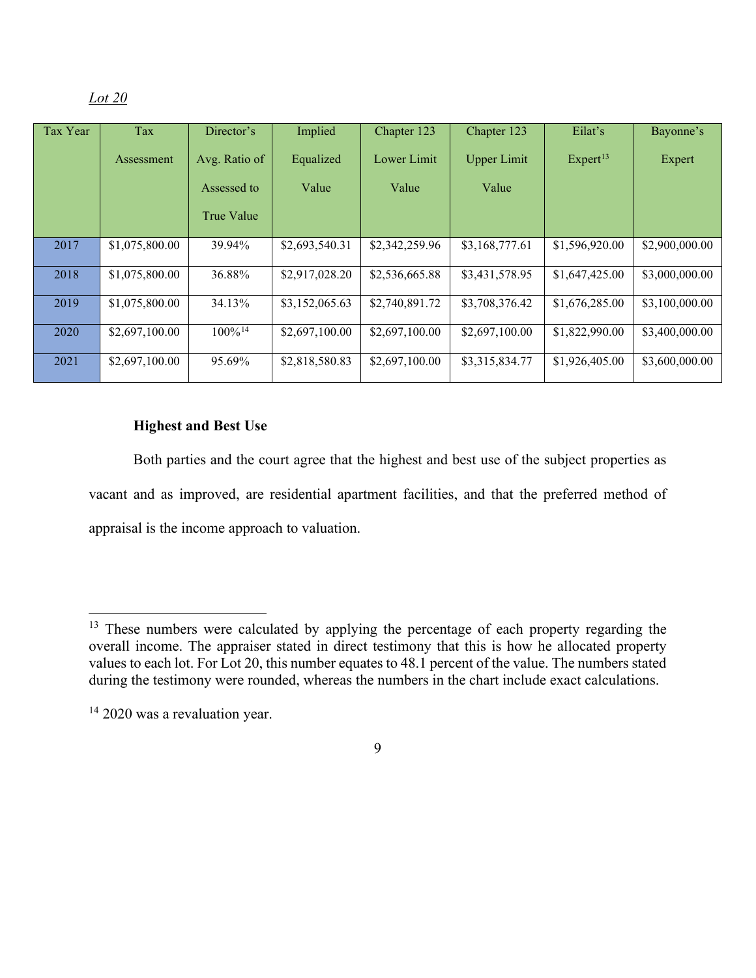| Tax Year | Tax            | Director's            | Implied        | Chapter 123    | Chapter 123        | Eilat's              | Bayonne's      |
|----------|----------------|-----------------------|----------------|----------------|--------------------|----------------------|----------------|
|          | Assessment     | Avg. Ratio of         | Equalized      | Lower Limit    | <b>Upper Limit</b> | Expert <sup>13</sup> | Expert         |
|          |                | Assessed to           | Value          | Value          | Value              |                      |                |
|          |                | True Value            |                |                |                    |                      |                |
| 2017     | \$1,075,800.00 | 39.94%                | \$2,693,540.31 | \$2,342,259.96 | \$3,168,777.61     | \$1,596,920.00       | \$2,900,000.00 |
| 2018     | \$1,075,800.00 | 36.88%                | \$2,917,028.20 | \$2,536,665.88 | \$3,431,578.95     | \$1,647,425.00       | \$3,000,000.00 |
| 2019     | \$1,075,800.00 | 34.13%                | \$3,152,065.63 | \$2,740,891.72 | \$3,708,376.42     | \$1,676,285.00       | \$3,100,000.00 |
| 2020     | \$2,697,100.00 | $100\%$ <sup>14</sup> | \$2,697,100.00 | \$2,697,100.00 | \$2,697,100.00     | \$1,822,990.00       | \$3,400,000.00 |
| 2021     | \$2,697,100.00 | 95.69%                | \$2,818,580.83 | \$2,697,100.00 | \$3,315,834.77     | \$1,926,405.00       | \$3,600,000.00 |

## **Highest and Best Use**

Both parties and the court agree that the highest and best use of the subject properties as vacant and as improved, are residential apartment facilities, and that the preferred method of appraisal is the income approach to valuation.

<span id="page-8-0"></span><sup>&</sup>lt;sup>13</sup> These numbers were calculated by applying the percentage of each property regarding the overall income. The appraiser stated in direct testimony that this is how he allocated property values to each lot. For Lot 20, this number equates to 48.1 percent of the value. The numbers stated during the testimony were rounded, whereas the numbers in the chart include exact calculations.

<span id="page-8-1"></span><sup>&</sup>lt;sup>14</sup> 2020 was a revaluation year.

<sup>9</sup>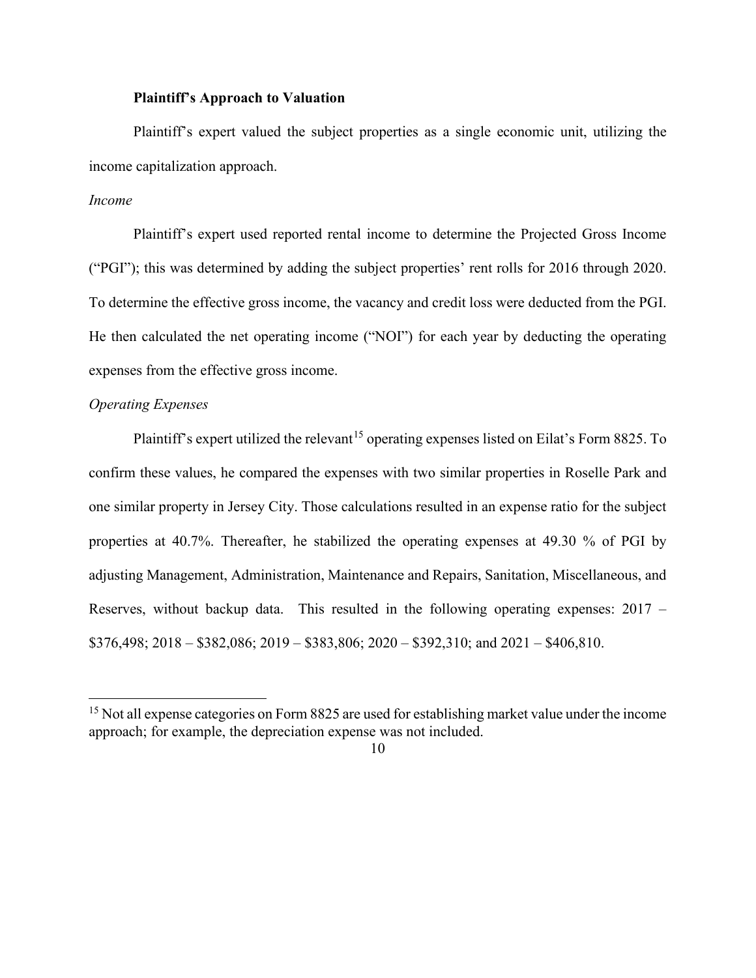### **Plaintiff's Approach to Valuation**

Plaintiff's expert valued the subject properties as a single economic unit, utilizing the income capitalization approach.

## *Income*

Plaintiff's expert used reported rental income to determine the Projected Gross Income ("PGI"); this was determined by adding the subject properties' rent rolls for 2016 through 2020. To determine the effective gross income, the vacancy and credit loss were deducted from the PGI. He then calculated the net operating income ("NOI") for each year by deducting the operating expenses from the effective gross income.

## *Operating Expenses*

Plaintiff's expert utilized the relevant<sup>[15](#page-9-0)</sup> operating expenses listed on Eilat's Form 8825. To confirm these values, he compared the expenses with two similar properties in Roselle Park and one similar property in Jersey City. Those calculations resulted in an expense ratio for the subject properties at 40.7%. Thereafter, he stabilized the operating expenses at 49.30 % of PGI by adjusting Management, Administration, Maintenance and Repairs, Sanitation, Miscellaneous, and Reserves, without backup data. This resulted in the following operating expenses: 2017 –  $$376,498; 2018 - $382,086; 2019 - $383,806; 2020 - $392,310;$  and  $2021 - $406,810$ .

<span id="page-9-0"></span><sup>&</sup>lt;sup>15</sup> Not all expense categories on Form 8825 are used for establishing market value under the income approach; for example, the depreciation expense was not included.

<sup>10</sup>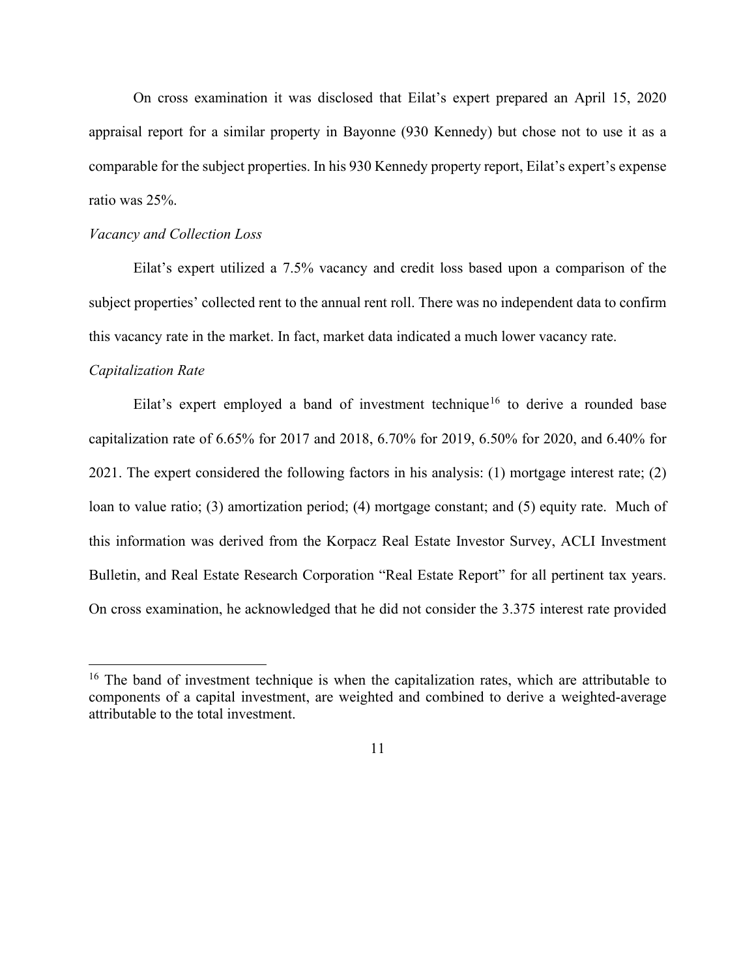On cross examination it was disclosed that Eilat's expert prepared an April 15, 2020 appraisal report for a similar property in Bayonne (930 Kennedy) but chose not to use it as a comparable for the subject properties. In his 930 Kennedy property report, Eilat's expert's expense ratio was 25%.

### *Vacancy and Collection Loss*

Eilat's expert utilized a 7.5% vacancy and credit loss based upon a comparison of the subject properties' collected rent to the annual rent roll. There was no independent data to confirm this vacancy rate in the market. In fact, market data indicated a much lower vacancy rate.

#### *Capitalization Rate*

Eilat's expert employed a band of investment technique<sup>[16](#page-10-0)</sup> to derive a rounded base capitalization rate of 6.65% for 2017 and 2018, 6.70% for 2019, 6.50% for 2020, and 6.40% for 2021. The expert considered the following factors in his analysis: (1) mortgage interest rate; (2) loan to value ratio; (3) amortization period; (4) mortgage constant; and (5) equity rate. Much of this information was derived from the Korpacz Real Estate Investor Survey, ACLI Investment Bulletin, and Real Estate Research Corporation "Real Estate Report" for all pertinent tax years. On cross examination, he acknowledged that he did not consider the 3.375 interest rate provided

<span id="page-10-0"></span> $16$  The band of investment technique is when the capitalization rates, which are attributable to components of a capital investment, are weighted and combined to derive a weighted-average attributable to the total investment.

<sup>11</sup>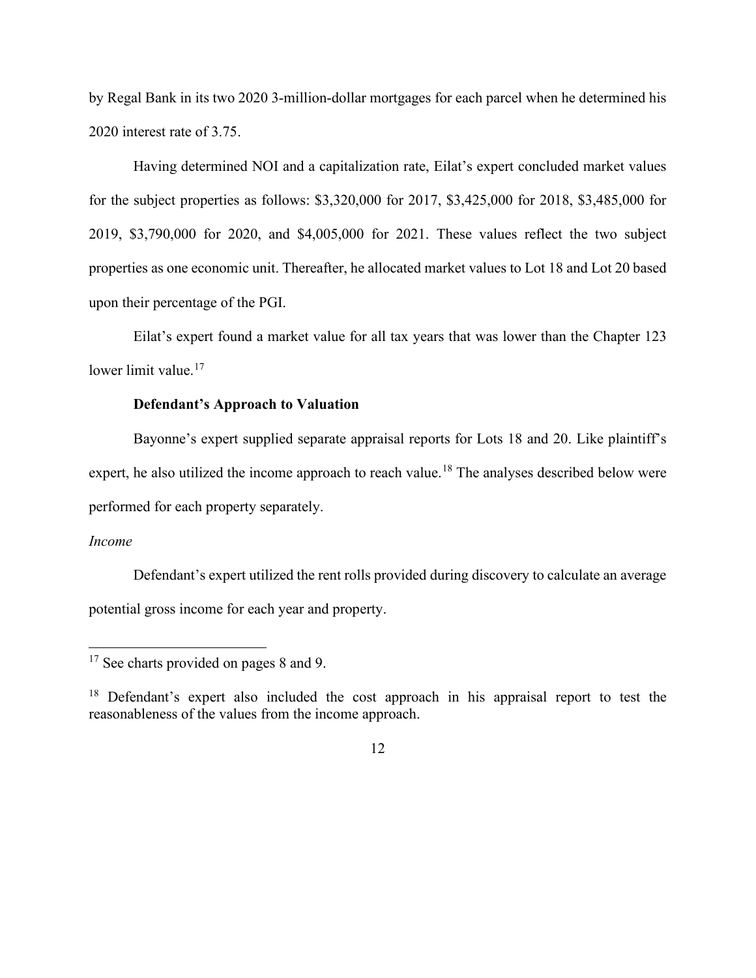by Regal Bank in its two 2020 3-million-dollar mortgages for each parcel when he determined his 2020 interest rate of 3.75.

Having determined NOI and a capitalization rate, Eilat's expert concluded market values for the subject properties as follows: \$3,320,000 for 2017, \$3,425,000 for 2018, \$3,485,000 for 2019, \$3,790,000 for 2020, and \$4,005,000 for 2021. These values reflect the two subject properties as one economic unit. Thereafter, he allocated market values to Lot 18 and Lot 20 based upon their percentage of the PGI.

Eilat's expert found a market value for all tax years that was lower than the Chapter 123 lower limit value.<sup>[17](#page-11-0)</sup>

## **Defendant's Approach to Valuation**

Bayonne's expert supplied separate appraisal reports for Lots 18 and 20. Like plaintiff's expert, he also utilized the income approach to reach value.<sup>[18](#page-11-1)</sup> The analyses described below were performed for each property separately.

#### *Income*

Defendant's expert utilized the rent rolls provided during discovery to calculate an average potential gross income for each year and property.

<span id="page-11-0"></span><sup>&</sup>lt;sup>17</sup> See charts provided on pages 8 and 9.

<span id="page-11-1"></span><sup>&</sup>lt;sup>18</sup> Defendant's expert also included the cost approach in his appraisal report to test the reasonableness of the values from the income approach.

<sup>12</sup>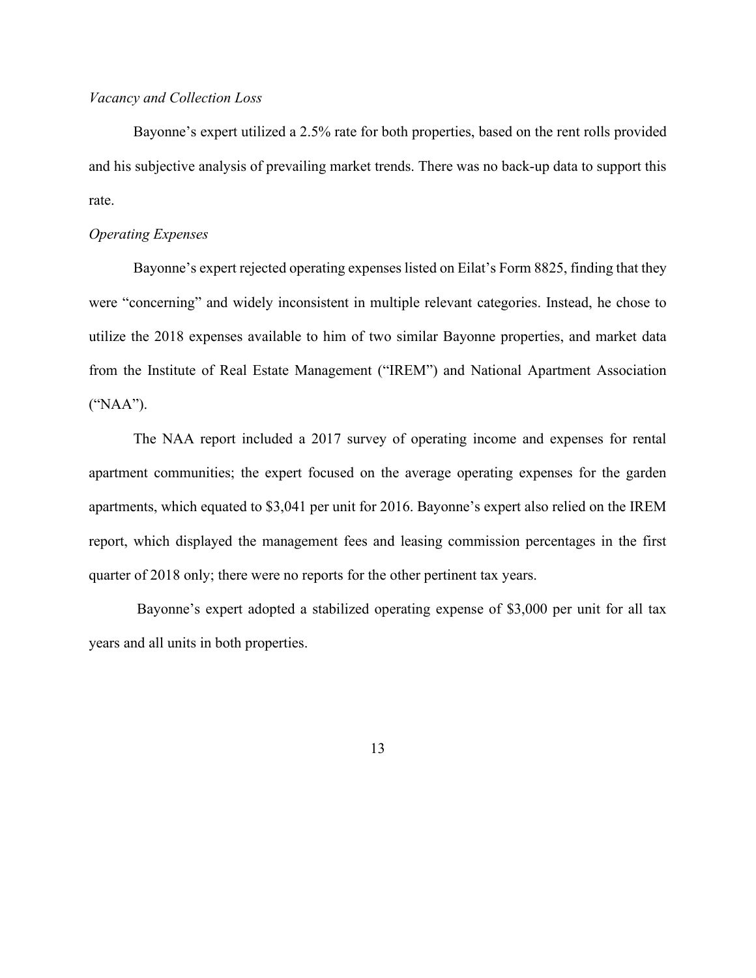## *Vacancy and Collection Loss*

Bayonne's expert utilized a 2.5% rate for both properties, based on the rent rolls provided and his subjective analysis of prevailing market trends. There was no back-up data to support this rate.

## *Operating Expenses*

Bayonne's expert rejected operating expenses listed on Eilat's Form 8825, finding that they were "concerning" and widely inconsistent in multiple relevant categories. Instead, he chose to utilize the 2018 expenses available to him of two similar Bayonne properties, and market data from the Institute of Real Estate Management ("IREM") and National Apartment Association ("NAA").

The NAA report included a 2017 survey of operating income and expenses for rental apartment communities; the expert focused on the average operating expenses for the garden apartments, which equated to \$3,041 per unit for 2016. Bayonne's expert also relied on the IREM report, which displayed the management fees and leasing commission percentages in the first quarter of 2018 only; there were no reports for the other pertinent tax years.

Bayonne's expert adopted a stabilized operating expense of \$3,000 per unit for all tax years and all units in both properties.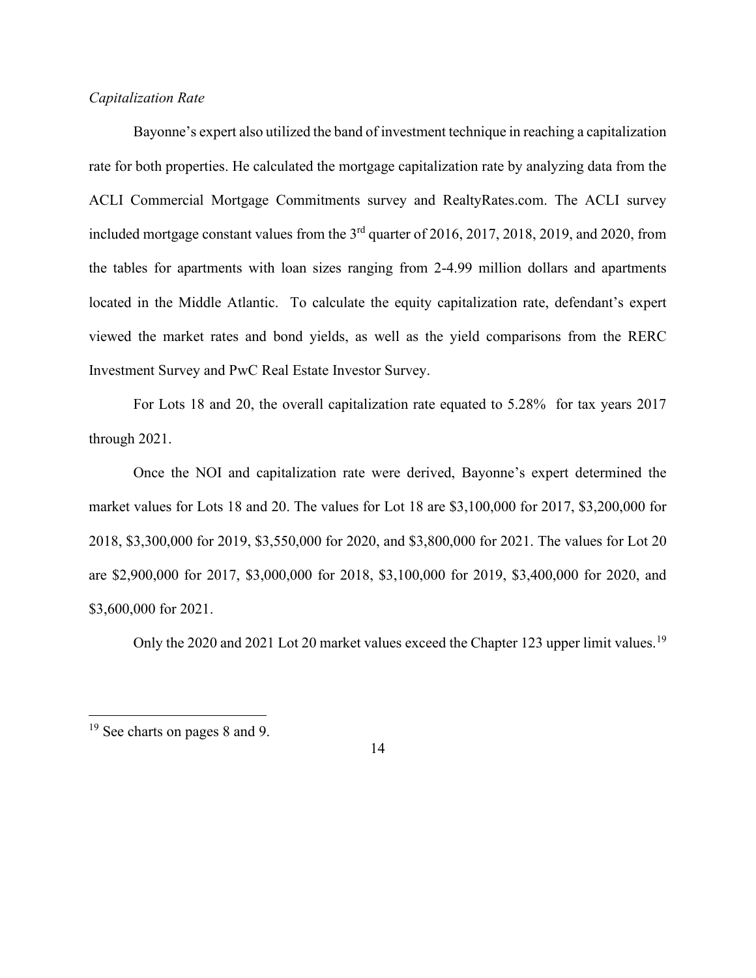## *Capitalization Rate*

Bayonne's expert also utilized the band of investment technique in reaching a capitalization rate for both properties. He calculated the mortgage capitalization rate by analyzing data from the ACLI Commercial Mortgage Commitments survey and RealtyRates.com. The ACLI survey included mortgage constant values from the 3<sup>rd</sup> quarter of 2016, 2017, 2018, 2019, and 2020, from the tables for apartments with loan sizes ranging from 2-4.99 million dollars and apartments located in the Middle Atlantic. To calculate the equity capitalization rate, defendant's expert viewed the market rates and bond yields, as well as the yield comparisons from the RERC Investment Survey and PwC Real Estate Investor Survey.

For Lots 18 and 20, the overall capitalization rate equated to 5.28% for tax years 2017 through 2021.

Once the NOI and capitalization rate were derived, Bayonne's expert determined the market values for Lots 18 and 20. The values for Lot 18 are \$3,100,000 for 2017, \$3,200,000 for 2018, \$3,300,000 for 2019, \$3,550,000 for 2020, and \$3,800,000 for 2021. The values for Lot 20 are \$2,900,000 for 2017, \$3,000,000 for 2018, \$3,100,000 for 2019, \$3,400,000 for 2020, and \$3,600,000 for 2021.

Only the 2020 and 2021 Lot 20 market values exceed the Chapter 123 upper limit values.<sup>[19](#page-13-0)</sup>

<span id="page-13-0"></span><sup>19</sup> See charts on pages 8 and 9.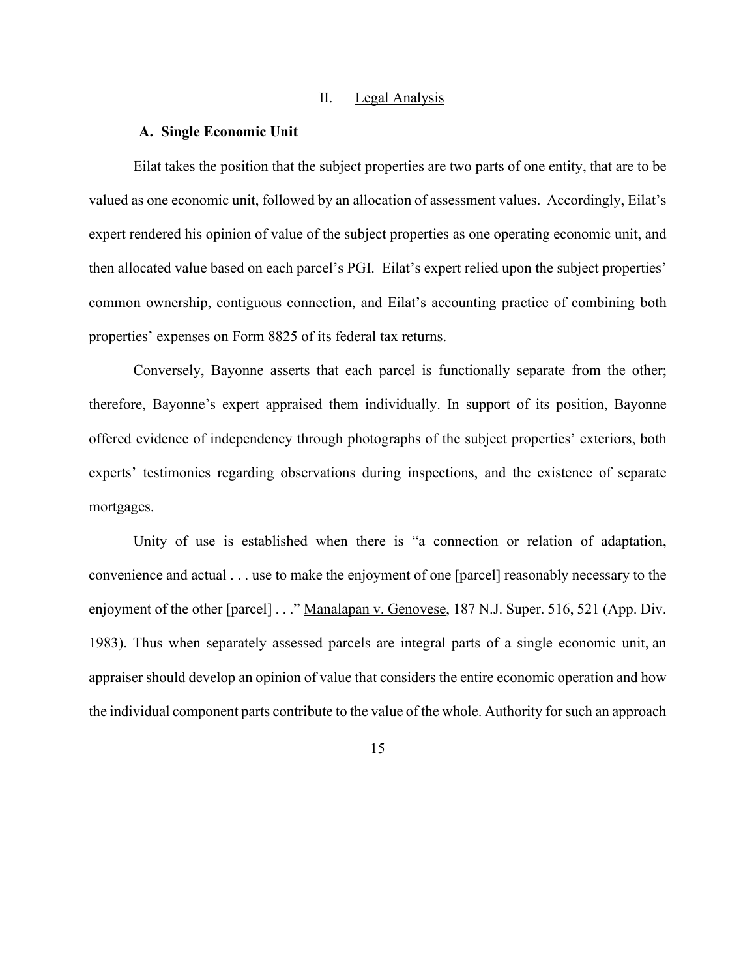#### II. Legal Analysis

#### **A. Single Economic Unit**

Eilat takes the position that the subject properties are two parts of one entity, that are to be valued as one economic unit, followed by an allocation of assessment values. Accordingly, Eilat's expert rendered his opinion of value of the subject properties as one operating economic unit, and then allocated value based on each parcel's PGI. Eilat's expert relied upon the subject properties' common ownership, contiguous connection, and Eilat's accounting practice of combining both properties' expenses on Form 8825 of its federal tax returns.

Conversely, Bayonne asserts that each parcel is functionally separate from the other; therefore, Bayonne's expert appraised them individually. In support of its position, Bayonne offered evidence of independency through photographs of the subject properties' exteriors, both experts' testimonies regarding observations during inspections, and the existence of separate mortgages.

Unity of use is established when there is "a connection or relation of adaptation, convenience and actual . . . use to make the enjoyment of one [parcel] reasonably necessary to the enjoyment of the other [parcel] . . ." Manalapan v. Genovese, 187 N.J. Super. 516, 521 (App. Div. 1983). Thus when separately assessed parcels are integral parts of a single economic unit, an appraiser should develop an opinion of value that considers the entire economic operation and how the individual component parts contribute to the value of the whole. Authority forsuch an approach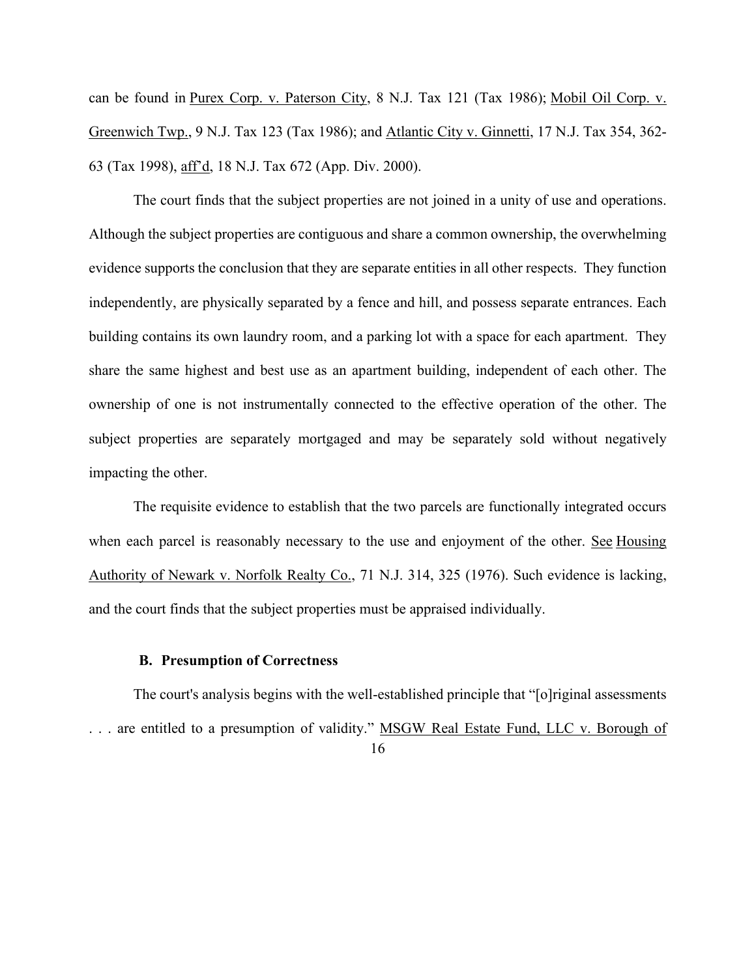can be found in Purex Corp. v. Paterson City, 8 N.J. Tax 121 (Tax 1986); Mobil Oil Corp. v. Greenwich Twp., 9 N.J. Tax 123 (Tax 1986); and Atlantic City v. Ginnetti, 17 N.J. Tax 354, 362- 63 (Tax 1998), aff'd, 18 N.J. Tax 672 (App. Div. 2000).

The court finds that the subject properties are not joined in a unity of use and operations. Although the subject properties are contiguous and share a common ownership, the overwhelming evidence supports the conclusion that they are separate entities in all other respects. They function independently, are physically separated by a fence and hill, and possess separate entrances. Each building contains its own laundry room, and a parking lot with a space for each apartment. They share the same highest and best use as an apartment building, independent of each other. The ownership of one is not instrumentally connected to the effective operation of the other. The subject properties are separately mortgaged and may be separately sold without negatively impacting the other.

The requisite evidence to establish that the two parcels are functionally integrated occurs when each parcel is reasonably necessary to the use and enjoyment of the other. See Housing Authority of Newark v. Norfolk Realty Co., 71 N.J. 314, 325 (1976). Such evidence is lacking, and the court finds that the subject properties must be appraised individually.

### **B. Presumption of Correctness**

16 The court's analysis begins with the well-established principle that "[o]riginal assessments . . . are entitled to a presumption of validity." MSGW Real Estate Fund, LLC v. Borough of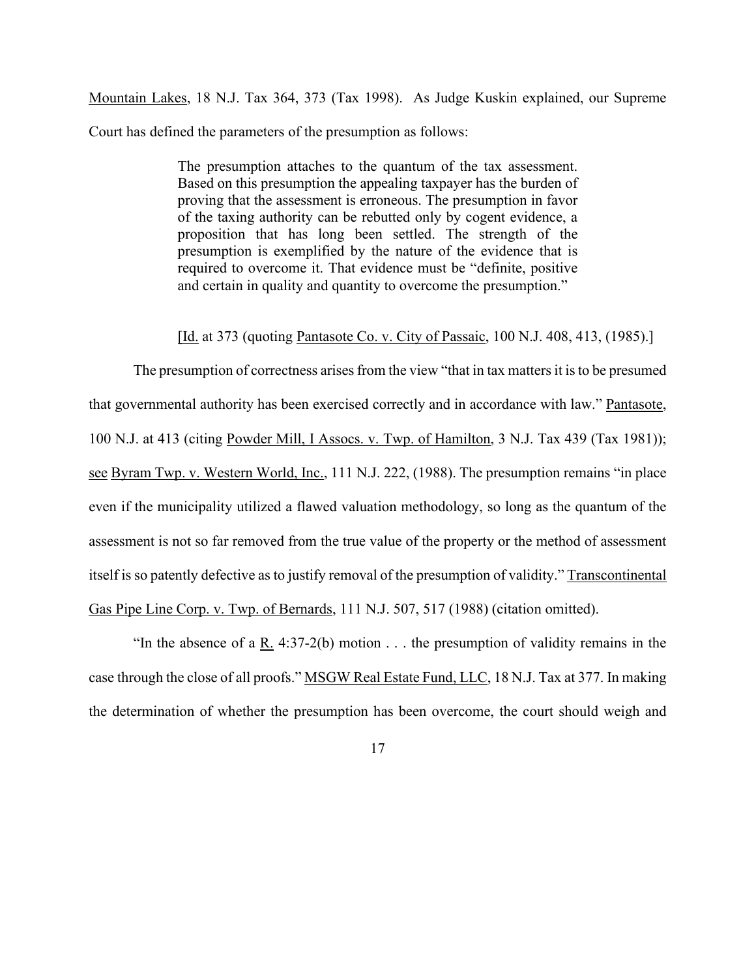Mountain Lakes, 18 N.J. Tax 364, 373 (Tax 1998). As Judge Kuskin explained, our Supreme Court has defined the parameters of the presumption as follows:

> The presumption attaches to the quantum of the tax assessment. Based on this presumption the appealing taxpayer has the burden of proving that the assessment is erroneous. The presumption in favor of the taxing authority can be rebutted only by cogent evidence, a proposition that has long been settled. The strength of the presumption is exemplified by the nature of the evidence that is required to overcome it. That evidence must be "definite, positive and certain in quality and quantity to overcome the presumption."

[Id. at 373 (quoting Pantasote Co. v. City of Passaic, 100 N.J. 408, 413, (1985).]

The presumption of correctness arises from the view "that in tax matters it is to be presumed that governmental authority has been exercised correctly and in accordance with law." Pantasote, 100 N.J. at 413 (citing Powder Mill, I Assocs. v. Twp. of Hamilton, 3 N.J. Tax 439 (Tax 1981)); see Byram Twp. v. Western World, Inc., 111 N.J. 222, (1988). The presumption remains "in place even if the municipality utilized a flawed valuation methodology, so long as the quantum of the assessment is not so far removed from the true value of the property or the method of assessment itself is so patently defective as to justify removal of the presumption of validity." Transcontinental Gas Pipe Line Corp. v. Twp. of Bernards, 111 N.J. 507, 517 (1988) (citation omitted).

"In the absence of a R. 4:37-2(b) motion  $\dots$  the presumption of validity remains in the case through the close of all proofs." MSGW Real Estate Fund, LLC, 18 N.J. Tax at 377. In making the determination of whether the presumption has been overcome, the court should weigh and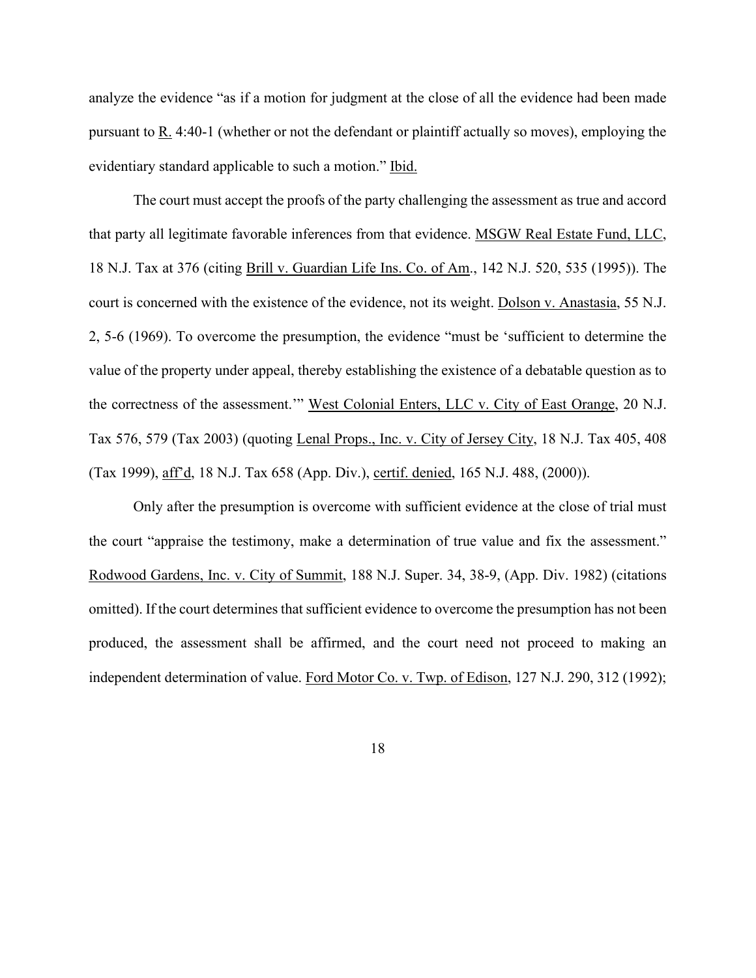analyze the evidence "as if a motion for judgment at the close of all the evidence had been made pursuant to R. 4:40-1 (whether or not the defendant or plaintiff actually so moves), employing the evidentiary standard applicable to such a motion." Ibid.

The court must accept the proofs of the party challenging the assessment as true and accord that party all legitimate favorable inferences from that evidence. MSGW Real Estate Fund, LLC, 18 N.J. Tax at 376 (citing Brill v. Guardian Life Ins. Co. of Am., 142 N.J. 520, 535 (1995)). The court is concerned with the existence of the evidence, not its weight. Dolson v. Anastasia, 55 N.J. 2, 5-6 (1969). To overcome the presumption, the evidence "must be 'sufficient to determine the value of the property under appeal, thereby establishing the existence of a debatable question as to the correctness of the assessment.'" West Colonial Enters, LLC v. City of East Orange, 20 N.J. Tax 576, 579 (Tax 2003) (quoting Lenal Props., Inc. v. City of Jersey City, 18 N.J. Tax 405, 408 (Tax 1999), aff'd, 18 N.J. Tax 658 (App. Div.), certif. denied, 165 N.J. 488, (2000)).

Only after the presumption is overcome with sufficient evidence at the close of trial must the court "appraise the testimony, make a determination of true value and fix the assessment." Rodwood Gardens, Inc. v. City of Summit, 188 N.J. Super. 34, 38-9, (App. Div. 1982) (citations omitted). If the court determines that sufficient evidence to overcome the presumption has not been produced, the assessment shall be affirmed, and the court need not proceed to making an independent determination of value. Ford Motor Co. v. Twp. of Edison, 127 N.J. 290, 312 (1992);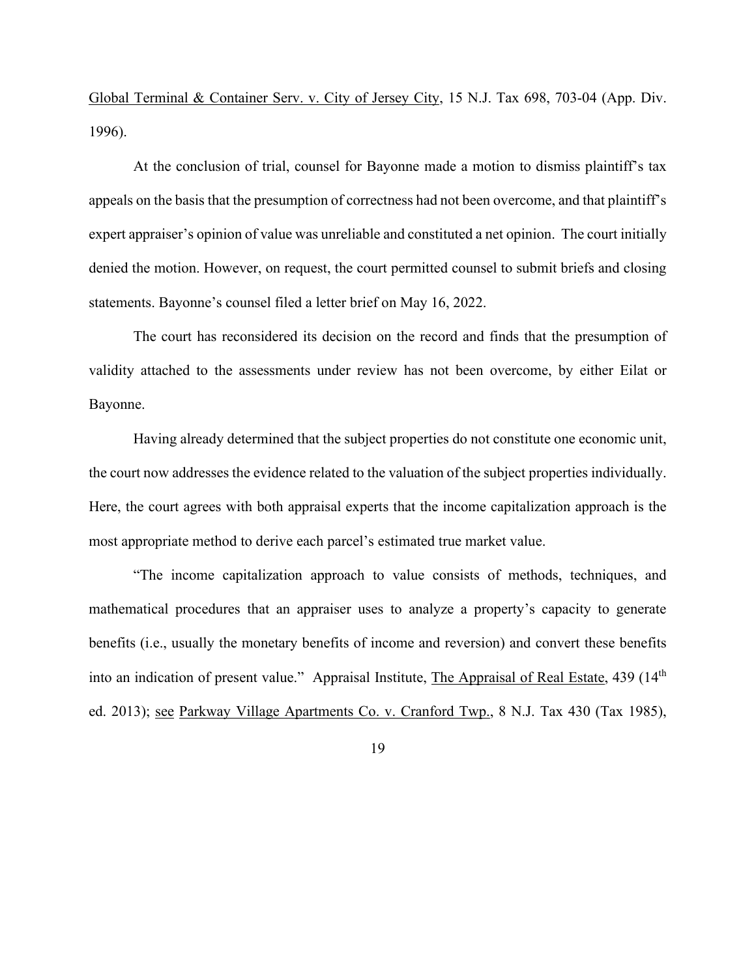Global Terminal & Container Serv. v. City of Jersey City, 15 N.J. Tax 698, 703-04 (App. Div. 1996).

At the conclusion of trial, counsel for Bayonne made a motion to dismiss plaintiff's tax appeals on the basis that the presumption of correctness had not been overcome, and that plaintiff's expert appraiser's opinion of value was unreliable and constituted a net opinion. The court initially denied the motion. However, on request, the court permitted counsel to submit briefs and closing statements. Bayonne's counsel filed a letter brief on May 16, 2022.

The court has reconsidered its decision on the record and finds that the presumption of validity attached to the assessments under review has not been overcome, by either Eilat or Bayonne.

Having already determined that the subject properties do not constitute one economic unit, the court now addresses the evidence related to the valuation of the subject properties individually. Here, the court agrees with both appraisal experts that the income capitalization approach is the most appropriate method to derive each parcel's estimated true market value.

"The income capitalization approach to value consists of methods, techniques, and mathematical procedures that an appraiser uses to analyze a property's capacity to generate benefits (i.e., usually the monetary benefits of income and reversion) and convert these benefits into an indication of present value." Appraisal Institute, The Appraisal of Real Estate, 439 (14<sup>th</sup> ed. 2013); see Parkway Village Apartments Co. v. Cranford Twp., 8 N.J. Tax 430 (Tax 1985),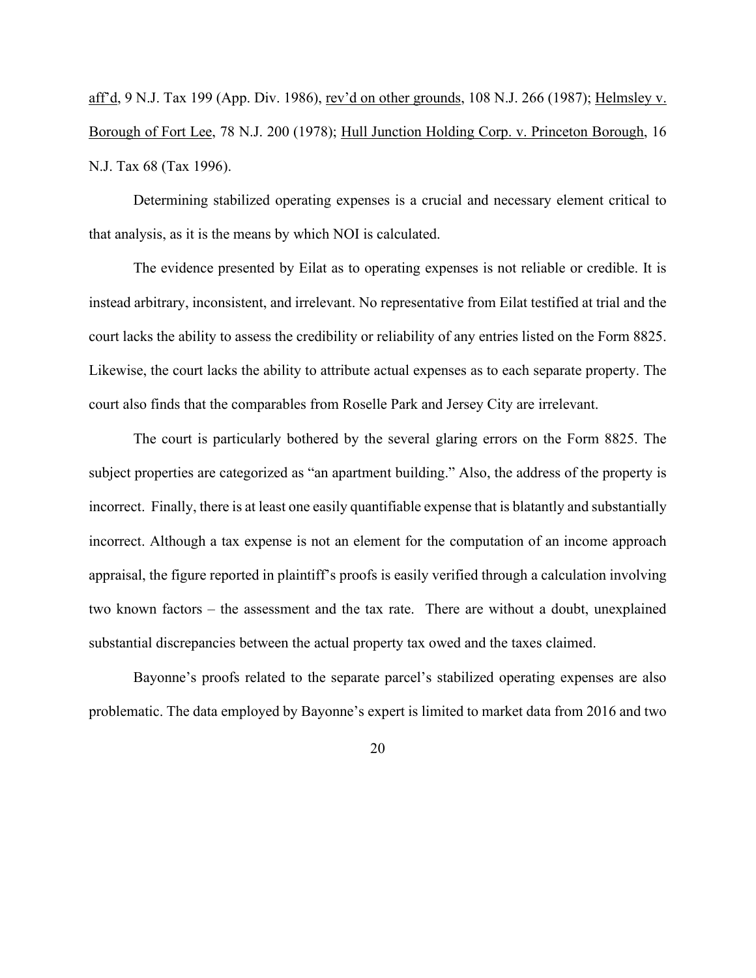aff'd, 9 N.J. Tax 199 (App. Div. 1986), rev'd on other grounds, 108 N.J. 266 (1987); Helmsley v. Borough of Fort Lee, 78 N.J. 200 (1978); Hull Junction Holding Corp. v. Princeton Borough, 16 N.J. Tax 68 (Tax 1996).

Determining stabilized operating expenses is a crucial and necessary element critical to that analysis, as it is the means by which NOI is calculated.

The evidence presented by Eilat as to operating expenses is not reliable or credible. It is instead arbitrary, inconsistent, and irrelevant. No representative from Eilat testified at trial and the court lacks the ability to assess the credibility or reliability of any entries listed on the Form 8825. Likewise, the court lacks the ability to attribute actual expenses as to each separate property. The court also finds that the comparables from Roselle Park and Jersey City are irrelevant.

The court is particularly bothered by the several glaring errors on the Form 8825. The subject properties are categorized as "an apartment building." Also, the address of the property is incorrect. Finally, there is at least one easily quantifiable expense that is blatantly and substantially incorrect. Although a tax expense is not an element for the computation of an income approach appraisal, the figure reported in plaintiff's proofs is easily verified through a calculation involving two known factors – the assessment and the tax rate. There are without a doubt, unexplained substantial discrepancies between the actual property tax owed and the taxes claimed.

Bayonne's proofs related to the separate parcel's stabilized operating expenses are also problematic. The data employed by Bayonne's expert is limited to market data from 2016 and two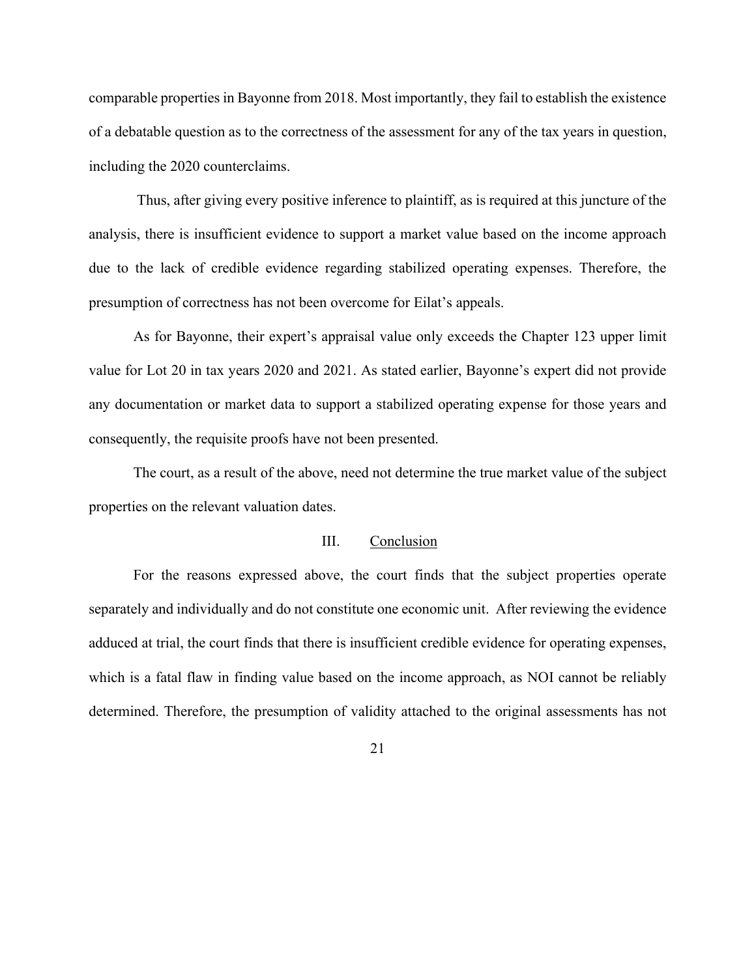comparable properties in Bayonne from 2018. Most importantly, they fail to establish the existence of a debatable question as to the correctness of the assessment for any of the tax years in question, including the 2020 counterclaims.

Thus, after giving every positive inference to plaintiff, as is required at this juncture of the analysis, there is insufficient evidence to support a market value based on the income approach due to the lack of credible evidence regarding stabilized operating expenses. Therefore, the presumption of correctness has not been overcome for Eilat's appeals.

As for Bayonne, their expert's appraisal value only exceeds the Chapter 123 upper limit value for Lot 20 in tax years 2020 and 2021. As stated earlier, Bayonne's expert did not provide any documentation or market data to support a stabilized operating expense for those years and consequently, the requisite proofs have not been presented.

The court, as a result of the above, need not determine the true market value of the subject properties on the relevant valuation dates.

#### III. Conclusion

For the reasons expressed above, the court finds that the subject properties operate separately and individually and do not constitute one economic unit. After reviewing the evidence adduced at trial, the court finds that there is insufficient credible evidence for operating expenses, which is a fatal flaw in finding value based on the income approach, as NOI cannot be reliably determined. Therefore, the presumption of validity attached to the original assessments has not